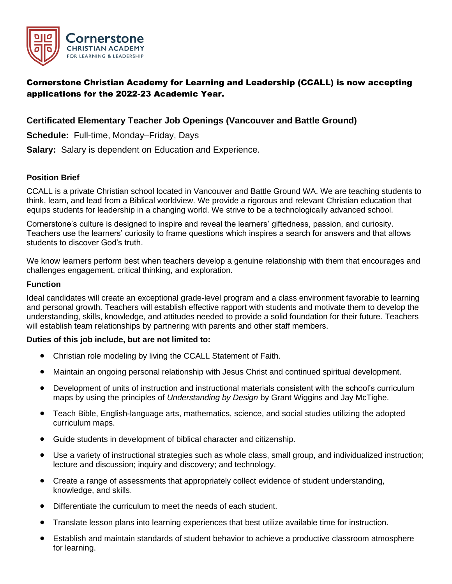

# Cornerstone Christian Academy for Learning and Leadership (CCALL) is now accepting applications for the 2022-23 Academic Year.

## **Certificated Elementary Teacher Job Openings (Vancouver and Battle Ground)**

**Schedule:** Full-time, Monday–Friday, Days

**Salary:** Salary is dependent on Education and Experience.

### **Position Brief**

CCALL is a private Christian school located in Vancouver and Battle Ground WA. We are teaching students to think, learn, and lead from a Biblical worldview. We provide a rigorous and relevant Christian education that equips students for leadership in a changing world. We strive to be a technologically advanced school.

Cornerstone's culture is designed to inspire and reveal the learners' giftedness, passion, and curiosity. Teachers use the learners' curiosity to frame questions which inspires a search for answers and that allows students to discover God's truth.

We know learners perform best when teachers develop a genuine relationship with them that encourages and challenges engagement, critical thinking, and exploration.

#### **Function**

Ideal candidates will create an exceptional grade-level program and a class environment favorable to learning and personal growth. Teachers will establish effective rapport with students and motivate them to develop the understanding, skills, knowledge, and attitudes needed to provide a solid foundation for their future. Teachers will establish team relationships by partnering with parents and other staff members.

#### **Duties of this job include, but are not limited to:**

- Christian role modeling by living the CCALL Statement of Faith.
- Maintain an ongoing personal relationship with Jesus Christ and continued spiritual development.
- Development of units of instruction and instructional materials consistent with the school's curriculum maps by using the principles of *Understanding by Design* by Grant Wiggins and Jay McTighe.
- Teach Bible, English-language arts, mathematics, science, and social studies utilizing the adopted curriculum maps.
- Guide students in development of biblical character and citizenship.
- Use a variety of instructional strategies such as whole class, small group, and individualized instruction; lecture and discussion; inquiry and discovery; and technology.
- Create a range of assessments that appropriately collect evidence of student understanding, knowledge, and skills.
- Differentiate the curriculum to meet the needs of each student.
- Translate lesson plans into learning experiences that best utilize available time for instruction.
- Establish and maintain standards of student behavior to achieve a productive classroom atmosphere for learning.